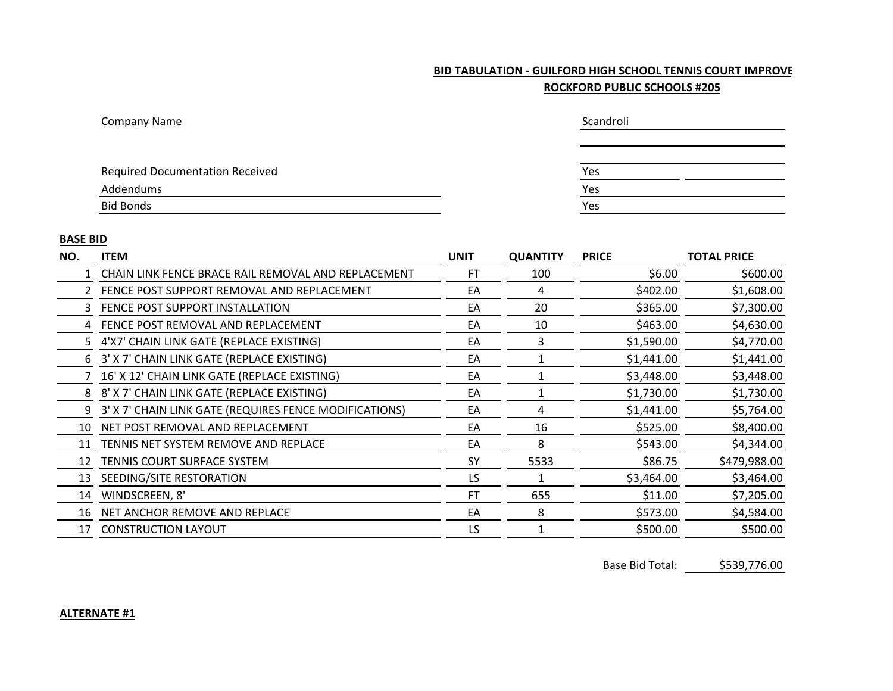## **BID TABULATION - GUILFORD HIGH SCHOOL TENNIS COURT IMPROVE ROCKFORD PUBLIC SCHOOLS #205**

| <b>Company Name</b>                    | Scandroli |
|----------------------------------------|-----------|
|                                        |           |
|                                        |           |
| <b>Required Documentation Received</b> | Yes       |
| Addendums                              | Yes       |
| <b>Bid Bonds</b>                       | Yes       |

## **BASE BID**

| NO. | <b>ITEM</b>                                            | <b>UNIT</b> | <b>QUANTITY</b> | <b>PRICE</b> | <b>TOTAL PRICE</b> |
|-----|--------------------------------------------------------|-------------|-----------------|--------------|--------------------|
|     | CHAIN LINK FENCE BRACE RAIL REMOVAL AND REPLACEMENT    | FT          | 100             | \$6.00       | \$600.00           |
| 2   | FENCE POST SUPPORT REMOVAL AND REPLACEMENT             | EA          | 4               | \$402.00     | \$1,608.00         |
| 3.  | FENCE POST SUPPORT INSTALLATION                        | EA          | 20              | \$365.00     | \$7,300.00         |
| 4   | FENCE POST REMOVAL AND REPLACEMENT                     | EA          | 10              | \$463.00     | \$4,630.00         |
| 5.  | 4'X7' CHAIN LINK GATE (REPLACE EXISTING)               | EA          | 3               | \$1,590.00   | \$4,770.00         |
| 6   | 3' X 7' CHAIN LINK GATE (REPLACE EXISTING)             | EA          |                 | \$1,441.00   | \$1,441.00         |
|     | 16' X 12' CHAIN LINK GATE (REPLACE EXISTING)           | EA          |                 | \$3,448.00   | \$3,448.00         |
| 8   | 8' X 7' CHAIN LINK GATE (REPLACE EXISTING)             | EA          |                 | \$1,730.00   | \$1,730.00         |
| 9   | 3' X 7' CHAIN LINK GATE (REQUIRES FENCE MODIFICATIONS) | EA          | 4               | \$1,441.00   | \$5,764.00         |
| 10  | NET POST REMOVAL AND REPLACEMENT                       | EA          | 16              | \$525.00     | \$8,400.00         |
| 11  | TENNIS NET SYSTEM REMOVE AND REPLACE                   | EA          | 8               | \$543.00     | \$4,344.00         |
| 12  | TENNIS COURT SURFACE SYSTEM                            | <b>SY</b>   | 5533            | \$86.75      | \$479,988.00       |
| 13  | SEEDING/SITE RESTORATION                               | LS          |                 | \$3,464.00   | \$3,464.00         |
| 14  | WINDSCREEN, 8'                                         | <b>FT</b>   | 655             | \$11.00      | \$7,205.00         |
| 16  | NET ANCHOR REMOVE AND REPLACE                          | EA          | 8               | \$573.00     | \$4,584.00         |
| 17  | <b>CONSTRUCTION LAYOUT</b>                             | LS          |                 | \$500.00     | \$500.00           |

Base Bid Total: \$539,776.00

## **ALTERNATE #1**